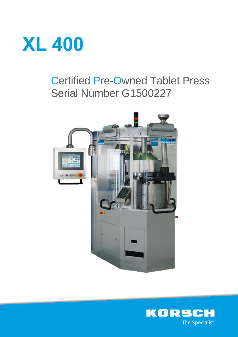

# Certified Pre-Owned Tablet Press Serial Number G1500227



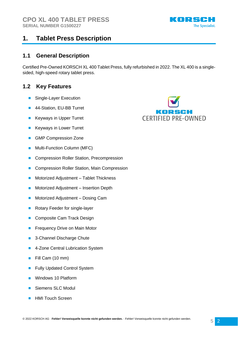

#### **1.1 General Description**

Certified Pre-Owned KORSCH XL 400 Tablet Press, fully refurbished in 2022. The XL 400 is a singlesided, high-speed rotary tablet press.

### **1.2 Key Features**

- Single-Layer Execution
- 44-Station, EU-BB Turret
- **Keyways in Upper Turret**
- Keyways in Lower Turret
- GMP Compression Zone
- Multi-Function Column (MFC)
- Compression Roller Station, Precompression
- Compression Roller Station, Main Compression
- Motorized Adjustment Tablet Thickness
- Motorized Adjustment Insertion Depth
- Motorized Adjustment Dosing Cam
- Rotary Feeder for single-layer
- Composite Cam Track Design
- Frequency Drive on Main Motor
- 3-Channel Discharge Chute
- 4-Zone Central Lubrication System
- Fill Cam (10 mm)
- **Fully Updated Control System**
- Windows 10 Platform
- Siemens SLC Modul
- HMI Touch Screen



KORSCH

**The Specialist.**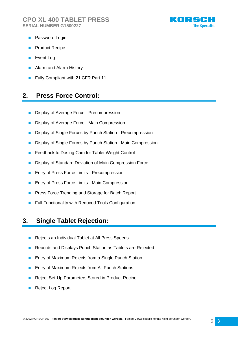

- Password Login
- Product Recipe
- Event Log
- Alarm and Alarm History
- Fully Compliant with 21 CFR Part 11

### **2. Press Force Control:**

- Display of Average Force Precompression
- Display of Average Force Main Compression
- Display of Single Forces by Punch Station Precompression
- Display of Single Forces by Punch Station Main Compression
- Feedback to Dosing Cam for Tablet Weight Control
- Display of Standard Deviation of Main Compression Force
- Entry of Press Force Limits Precompression
- Entry of Press Force Limits Main Compression
- Press Force Trending and Storage for Batch Report
- Full Functionality with Reduced Tools Configuration

### **3. Single Tablet Rejection:**

- Rejects an Individual Tablet at All Press Speeds
- Records and Displays Punch Station as Tablets are Rejected
- Entry of Maximum Rejects from a Single Punch Station
- Entry of Maximum Rejects from All Punch Stations
- Reject Set-Up Parameters Stored in Product Recipe
- Reject Log Report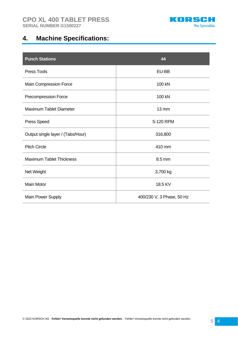

# **4. Machine Specifications:**

| <b>Punch Stations</b>             | 44                        |
|-----------------------------------|---------------------------|
| <b>Press Tools</b>                | EU-BB                     |
| Main Compression Force            | 100 kN                    |
| Precompression Force              | 100 kN                    |
| <b>Maximum Tablet Diameter</b>    | $13 \, \text{mm}$         |
| <b>Press Speed</b>                | 5-120 RPM                 |
| Output single layer / (Tabs/Hour) | 316,800                   |
| <b>Pitch Circle</b>               | 410 mm                    |
| <b>Maximum Tablet Thickness</b>   | 8.5 mm                    |
| Net Weight                        | 3,700 kg                  |
| <b>Main Motor</b>                 | 18.5 KV                   |
| Main Power Supply                 | 400/230 V, 3 Phase, 50 Hz |